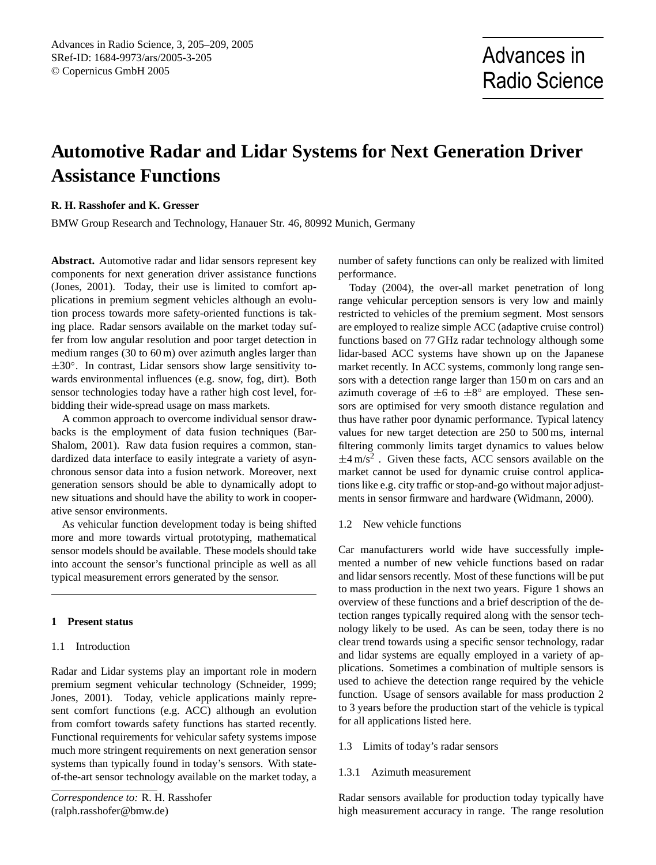# **Automotive Radar and Lidar Systems for Next Generation Driver Assistance Functions**

# **R. H. Rasshofer and K. Gresser**

BMW Group Research and Technology, Hanauer Str. 46, 80992 Munich, Germany

**Abstract.** Automotive radar and lidar sensors represent key components for next generation driver assistance functions (Jones, 2001). Today, their use is limited to comfort applications in premium segment vehicles although an evolution process towards more safety-oriented functions is taking place. Radar sensors available on the market today suffer from low angular resolution and poor target detection in medium ranges (30 to 60 m) over azimuth angles larger than ±30°. In contrast, Lidar sensors show large sensitivity towards environmental influences (e.g. snow, fog, dirt). Both sensor technologies today have a rather high cost level, forbidding their wide-spread usage on mass markets.

A common approach to overcome individual sensor drawbacks is the employment of data fusion techniques (Bar-Shalom, 2001). Raw data fusion requires a common, standardized data interface to easily integrate a variety of asynchronous sensor data into a fusion network. Moreover, next generation sensors should be able to dynamically adopt to new situations and should have the ability to work in cooperative sensor environments.

As vehicular function development today is being shifted more and more towards virtual prototyping, mathematical sensor models should be available. These models should take into account the sensor's functional principle as well as all typical measurement errors generated by the sensor.

# **1 Present status**

#### 1.1 Introduction

Radar and Lidar systems play an important role in modern premium segment vehicular technology (Schneider, 1999; Jones, 2001). Today, vehicle applications mainly represent comfort functions (e.g. ACC) although an evolution from comfort towards safety functions has started recently. Functional requirements for vehicular safety systems impose much more stringent requirements on next generation sensor systems than typically found in today's sensors. With stateof-the-art sensor technology available on the market today, a

number of safety functions can only be realized with limited performance.

Today (2004), the over-all market penetration of long range vehicular perception sensors is very low and mainly restricted to vehicles of the premium segment. Most sensors are employed to realize simple ACC (adaptive cruise control) functions based on 77 GHz radar technology although some lidar-based ACC systems have shown up on the Japanese market recently. In ACC systems, commonly long range sensors with a detection range larger than 150 m on cars and an azimuth coverage of  $\pm 6$  to  $\pm 8^{\circ}$  are employed. These sensors are optimised for very smooth distance regulation and thus have rather poor dynamic performance. Typical latency values for new target detection are 250 to 500 ms, internal filtering commonly limits target dynamics to values below  $\pm 4 \text{ m/s}^2$ . Given these facts, ACC sensors available on the market cannot be used for dynamic cruise control applications like e.g. city traffic or stop-and-go without major adjustments in sensor firmware and hardware (Widmann, 2000).

1.2 New vehicle functions

Car manufacturers world wide have successfully implemented a number of new vehicle functions based on radar and lidar sensors recently. Most of these functions will be put to mass production in the next two years. Figure 1 shows an overview of these functions and a brief description of the detection ranges typically required along with the sensor technology likely to be used. As can be seen, today there is no clear trend towards using a specific sensor technology, radar and lidar systems are equally employed in a variety of applications. Sometimes a combination of multiple sensors is used to achieve the detection range required by the vehicle function. Usage of sensors available for mass production 2 to 3 years before the production start of the vehicle is typical for all applications listed here.

- 1.3 Limits of today's radar sensors
- 1.3.1 Azimuth measurement

Radar sensors available for production today typically have high measurement accuracy in range. The range resolution

<span id="page-0-0"></span>*Correspondence to:* R. H. Rasshofer (ralph.rasshofer@bmw.de)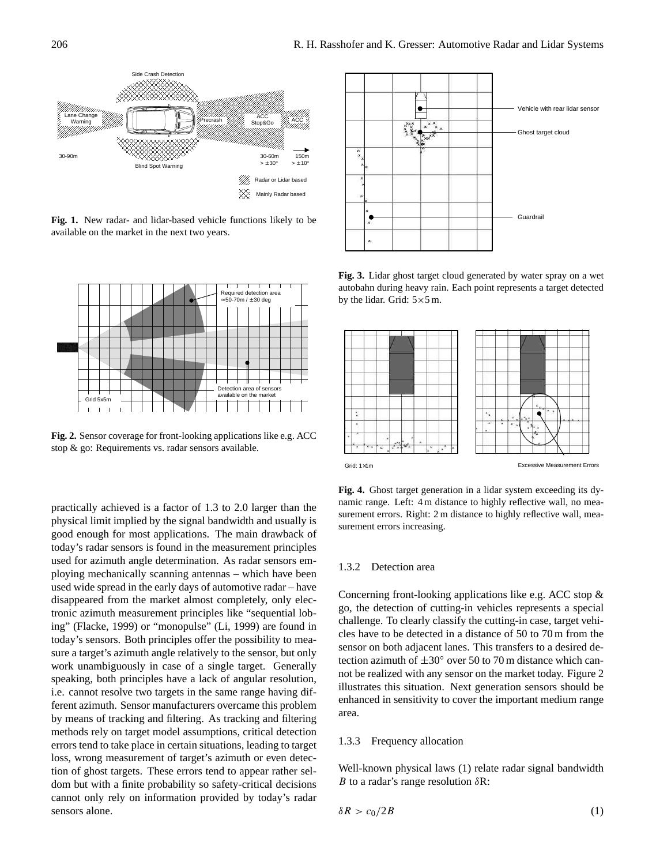

**Fig. 1.** New radar- and lidar-based vehicle functions likely to be available on the market in the next two years.



**Fig. 2.** Sensor coverage for front-looking applications like e.g. ACC stop & go: Requirements vs. radar sensors available.

practically achieved is a factor of 1.3 to 2.0 larger than the physical limit implied by the signal bandwidth and usually is good enough for most applications. The main drawback of today's radar sensors is found in the measurement principles used for azimuth angle determination. As radar sensors employing mechanically scanning antennas – which have been used wide spread in the early days of automotive radar – have disappeared from the market almost completely, only electronic azimuth measurement principles like "sequential lobing" (Flacke, 1999) or "monopulse" (Li, 1999) are found in today's sensors. Both principles offer the possibility to measure a target's azimuth angle relatively to the sensor, but only work unambiguously in case of a single target. Generally speaking, both principles have a lack of angular resolution, i.e. cannot resolve two targets in the same range having different azimuth. Sensor manufacturers overcame this problem by means of tracking and filtering. As tracking and filtering methods rely on target model assumptions, critical detection errors tend to take place in certain situations, leading to target loss, wrong measurement of target's azimuth or even detection of ghost targets. These errors tend to appear rather seldom but with a finite probability so safety-critical decisions cannot only rely on information provided by today's radar sensors alone.



**Fig. 3.** Lidar ghost target cloud generated by water spray on a wet autobahn during heavy rain. Each point represents a target detected by the lidar. Grid:  $5 \times 5$  m.



**Fig. 4.** Ghost target generation in a lidar system exceeding its dynamic range. Left: 4 m distance to highly reflective wall, no measurement errors. Right: 2 m distance to highly reflective wall, measurement errors increasing.

#### 1.3.2 Detection area

Concerning front-looking applications like e.g. ACC stop & go, the detection of cutting-in vehicles represents a special challenge. To clearly classify the cutting-in case, target vehicles have to be detected in a distance of 50 to 70 m from the sensor on both adjacent lanes. This transfers to a desired detection azimuth of  $\pm 30^\circ$  over 50 to 70 m distance which cannot be realized with any sensor on the market today. Figure 2 illustrates this situation. Next generation sensors should be enhanced in sensitivity to cover the important medium range area.

#### 1.3.3 Frequency allocation

Well-known physical laws (1) relate radar signal bandwidth B to a radar's range resolution  $\delta R$ :

$$
\delta R > c_0/2B \tag{1}
$$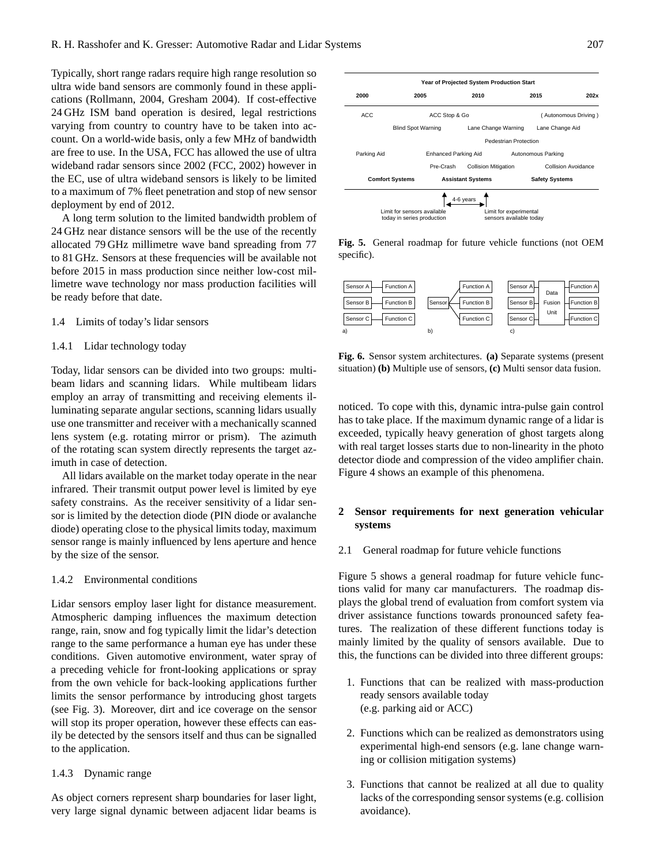Typically, short range radars require high range resolution so ultra wide band sensors are commonly found in these applications (Rollmann, 2004, Gresham 2004). If cost-effective 24 GHz ISM band operation is desired, legal restrictions varying from country to country have to be taken into account. On a world-wide basis, only a few MHz of bandwidth are free to use. In the USA, FCC has allowed the use of ultra wideband radar sensors since 2002 (FCC, 2002) however in the EC, use of ultra wideband sensors is likely to be limited to a maximum of 7% fleet penetration and stop of new sensor deployment by end of 2012.

A long term solution to the limited bandwidth problem of 24 GHz near distance sensors will be the use of the recently allocated 79 GHz millimetre wave band spreading from 77 to 81 GHz. Sensors at these frequencies will be available not before 2015 in mass production since neither low-cost millimetre wave technology nor mass production facilities will be ready before that date.

#### 1.4 Limits of today's lidar sensors

#### 1.4.1 Lidar technology today

Today, lidar sensors can be divided into two groups: multibeam lidars and scanning lidars. While multibeam lidars employ an array of transmitting and receiving elements illuminating separate angular sections, scanning lidars usually use one transmitter and receiver with a mechanically scanned lens system (e.g. rotating mirror or prism). The azimuth of the rotating scan system directly represents the target azimuth in case of detection.

All lidars available on the market today operate in the near infrared. Their transmit output power level is limited by eye safety constrains. As the receiver sensitivity of a lidar sensor is limited by the detection diode (PIN diode or avalanche diode) operating close to the physical limits today, maximum sensor range is mainly influenced by lens aperture and hence by the size of the sensor.

### 1.4.2 Environmental conditions

Lidar sensors employ laser light for distance measurement. Atmospheric damping influences the maximum detection range, rain, snow and fog typically limit the lidar's detection range to the same performance a human eye has under these conditions. Given automotive environment, water spray of a preceding vehicle for front-looking applications or spray from the own vehicle for back-looking applications further limits the sensor performance by introducing ghost targets (see Fig. 3). Moreover, dirt and ice coverage on the sensor will stop its proper operation, however these effects can easily be detected by the sensors itself and thus can be signalled to the application.

#### 1.4.3 Dynamic range

As object corners represent sharp boundaries for laser light, very large signal dynamic between adjacent lidar beams is



**Fig. 5.** General roadmap for future vehicle functions (not OEM specific).



**Fig. 6.** Sensor system architectures. **(a)** Separate systems (present situation) **(b)** Multiple use of sensors, **(c)** Multi sensor data fusion.

noticed. To cope with this, dynamic intra-pulse gain control has to take place. If the maximum dynamic range of a lidar is exceeded, typically heavy generation of ghost targets along with real target losses starts due to non-linearity in the photo detector diode and compression of the video amplifier chain. Figure 4 shows an example of this phenomena.

# **2 Sensor requirements for next generation vehicular systems**

#### 2.1 General roadmap for future vehicle functions

Figure 5 shows a general roadmap for future vehicle functions valid for many car manufacturers. The roadmap displays the global trend of evaluation from comfort system via driver assistance functions towards pronounced safety features. The realization of these different functions today is mainly limited by the quality of sensors available. Due to this, the functions can be divided into three different groups:

- 1. Functions that can be realized with mass-production ready sensors available today (e.g. parking aid or ACC)
- 2. Functions which can be realized as demonstrators using experimental high-end sensors (e.g. lane change warning or collision mitigation systems)
- 3. Functions that cannot be realized at all due to quality lacks of the corresponding sensor systems (e.g. collision avoidance).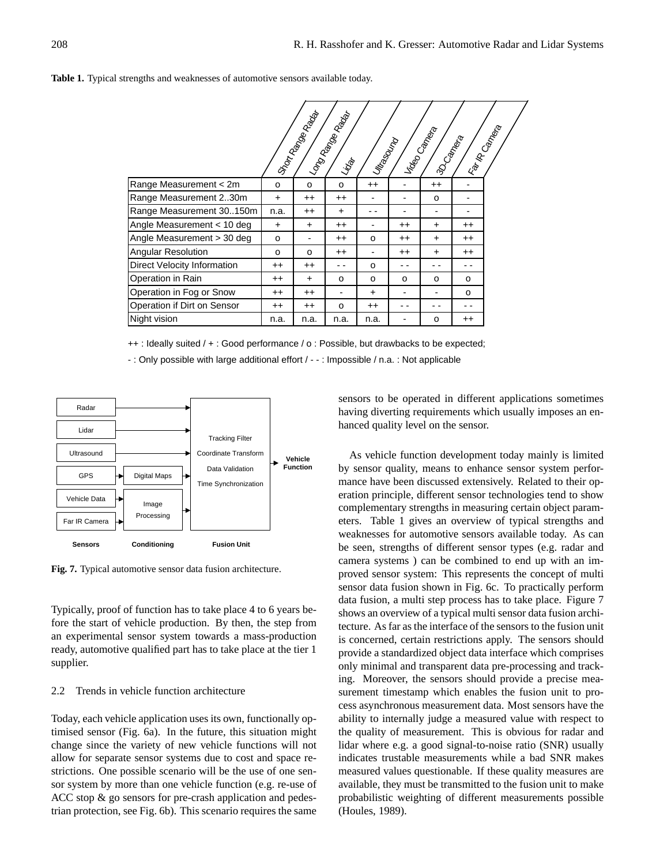#### **Table 1.** Typical strengths and weaknesses of automotive sensors available today.

|                             |                 | Istraction Reader | Longrego<br><sup>Mang</sup> ier <sub>Rage</sub><br>Ligati | I Mitasourp     |         | I Video Campeta<br>130 Campas |         | Ira IR Campas |
|-----------------------------|-----------------|-------------------|-----------------------------------------------------------|-----------------|---------|-------------------------------|---------|---------------|
| Range Measurement < 2m      | $\circ$         | o                 | $\Omega$                                                  | $^{++}$         |         | $^{++}$                       |         |               |
| Range Measurement 230m      | $\ddot{}$       | $^{++}$           | $^{\mathrm{+}}$                                           |                 |         | o                             |         |               |
| Range Measurement 30150m    | n.a.            | $^{++}$           | $\ddot{}$                                                 |                 |         | $\overline{\phantom{a}}$      | -       |               |
| Angle Measurement < 10 deg  | +               | ÷.                | $^{++}$                                                   |                 | $^{++}$ | $\ddot{}$                     | $^{++}$ |               |
| Angle Measurement > 30 deg  | $\circ$         |                   | $^{++}$                                                   | o               | $^{++}$ | $\ddot{}$                     | $^{++}$ |               |
| Angular Resolution          | O               | $\Omega$          | $^{++}$                                                   |                 | $^{++}$ | $\ddot{}$                     | $^{++}$ |               |
| Direct Velocity Information | $^{++}$         | $^{++}$           |                                                           | $\Omega$        |         |                               | - -     |               |
| Operation in Rain           | $^{\mathrm{+}}$ | $\ddot{}$         | o                                                         | o               | o       | $\circ$                       | o       |               |
| Operation in Fog or Snow    | $^{++}$         | $^{++}$           |                                                           | +               |         |                               | o       |               |
| Operation if Dirt on Sensor | $^{\mathrm{+}}$ | $^{++}$           | o                                                         | $^{\mathrm{+}}$ |         |                               | - -     |               |
| Night vision                | n.a.            | n.a.              | n.a.                                                      | n.a.            |         | 0                             | $^{++}$ |               |

++ : Ideally suited / + : Good performance / o : Possible, but drawbacks to be expected;

- : Only possible with large additional effort / - - : Impossible / n.a. : Not applicable



**Fig. 7.** Typical automotive sensor data fusion architecture.

Typically, proof of function has to take place 4 to 6 years before the start of vehicle production. By then, the step from an experimental sensor system towards a mass-production ready, automotive qualified part has to take place at the tier 1 supplier.

# 2.2 Trends in vehicle function architecture

Today, each vehicle application uses its own, functionally optimised sensor (Fig. 6a). In the future, this situation might change since the variety of new vehicle functions will not allow for separate sensor systems due to cost and space restrictions. One possible scenario will be the use of one sensor system by more than one vehicle function (e.g. re-use of ACC stop & go sensors for pre-crash application and pedestrian protection, see Fig. 6b). This scenario requires the same

sensors to be operated in different applications sometimes having diverting requirements which usually imposes an enhanced quality level on the sensor.

As vehicle function development today mainly is limited by sensor quality, means to enhance sensor system performance have been discussed extensively. Related to their operation principle, different sensor technologies tend to show complementary strengths in measuring certain object parameters. Table 1 gives an overview of typical strengths and weaknesses for automotive sensors available today. As can be seen, strengths of different sensor types (e.g. radar and camera systems ) can be combined to end up with an improved sensor system: This represents the concept of multi sensor data fusion shown in Fig. 6c. To practically perform data fusion, a multi step process has to take place. Figure 7 shows an overview of a typical multi sensor data fusion architecture. As far as the interface of the sensors to the fusion unit is concerned, certain restrictions apply. The sensors should provide a standardized object data interface which comprises only minimal and transparent data pre-processing and tracking. Moreover, the sensors should provide a precise measurement timestamp which enables the fusion unit to process asynchronous measurement data. Most sensors have the ability to internally judge a measured value with respect to the quality of measurement. This is obvious for radar and lidar where e.g. a good signal-to-noise ratio (SNR) usually indicates trustable measurements while a bad SNR makes measured values questionable. If these quality measures are available, they must be transmitted to the fusion unit to make probabilistic weighting of different measurements possible (Houles, 1989).